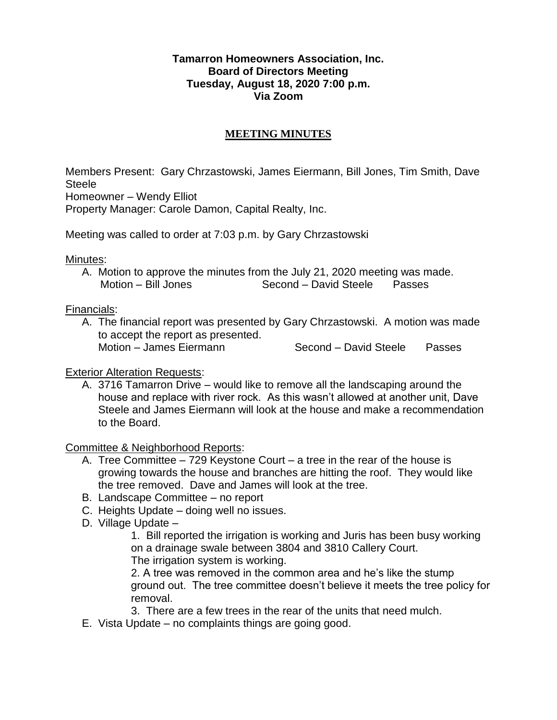## **Tamarron Homeowners Association, Inc. Board of Directors Meeting Tuesday, August 18, 2020 7:00 p.m. Via Zoom**

## **MEETING MINUTES**

Members Present: Gary Chrzastowski, James Eiermann, Bill Jones, Tim Smith, Dave Steele

Homeowner – Wendy Elliot

Property Manager: Carole Damon, Capital Realty, Inc.

Meeting was called to order at 7:03 p.m. by Gary Chrzastowski

Minutes:

A. Motion to approve the minutes from the July 21, 2020 meeting was made. Motion – Bill Jones Second – David Steele Passes

Financials:

A. The financial report was presented by Gary Chrzastowski. A motion was made to accept the report as presented. Motion – James Eiermann Second – David Steele Passes

## Exterior Alteration Requests:

A. 3716 Tamarron Drive – would like to remove all the landscaping around the house and replace with river rock. As this wasn't allowed at another unit, Dave Steele and James Eiermann will look at the house and make a recommendation to the Board.

Committee & Neighborhood Reports:

- A. Tree Committee 729 Keystone Court a tree in the rear of the house is growing towards the house and branches are hitting the roof. They would like the tree removed. Dave and James will look at the tree.
- B. Landscape Committee no report
- C. Heights Update doing well no issues.
- D. Village Update
	- 1. Bill reported the irrigation is working and Juris has been busy working on a drainage swale between 3804 and 3810 Callery Court. The irrigation system is working.

2. A tree was removed in the common area and he's like the stump ground out. The tree committee doesn't believe it meets the tree policy for removal.

3. There are a few trees in the rear of the units that need mulch.

E. Vista Update – no complaints things are going good.